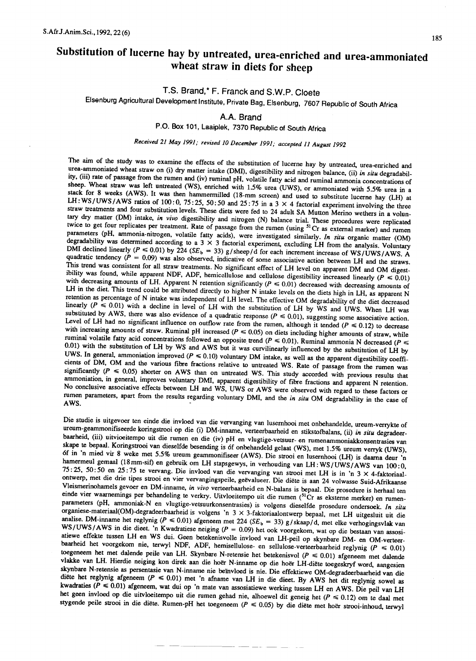# Substitution of lucerne hay by untreated, urea-enriched and urea-ammoniated wheat straw in diets for sheep

## T.S. Brand,\* F. Franck and S.W.P. Cloete

Elsenburg Agricultural Development Institute, Private Bag, Elsenburg, 7607 Republic of South Africa

## A.A. Brand

P.O. Box 101, Laaiplek, 7370 Republic of South Africa

## Received 21 May 1991; revised 10 December 1991; accepted 11 August 1992

The aim of the study was to examine the effects of the substitution of lucerne hay by untreated, urea-enriched and urea-ammoniated wheat straw on (i) dry matter intake (DMl), digestibility and nitrogen balance, (ii) *in situ* degradability, (iii) rate of passage from the rumen and (iv) ruminal pH, volatile fatty acid and ruminal ammonia concentrations of sheep. Wheat straw was left untreated (WS), enriched with 1.5% urea (UWS), or ammoniated with 5.5% urea in a stack for 8 weeks (AWS). It was then hammermilled (18-mm screen) and used to substitute lucerne hay (LH) at LH: WS/UWS/AWS ratios of 100: 0, 75:25, 50:50 and 25:75 in a  $3 \times 4$  factorial experiment involving the three straw treatments and four substitution levels. These diets were fed to 24 adult SA Mutton Merino wethers in a voluntary dry matter (DM) intake, *in vivo* digestibility and nitrogen (N) balance trial. These procedures were replicated twice to get four replicates per treatment. Rate of passage from the rumen (using <sup>51</sup> Cr as external marker) and rumen parameters (pH, ammonia-nitrogen, volatile fatty acids), were investigated similarly. *In situ* organic matter (OM) degradability was determined according to a 3  $\times$  3 factorial experiment, excluding LH from the analysis. Voluntary DMI declined linearly  $(P \le 0.01)$  by 224 (SE<sub>b</sub> = 33) g/sheep/d for each increment increase of WS/UWS/AWS. A quadratic tendency  $(P = 0.09)$  was also observed, indicative of some associative action between LH and the straws. This trend was consistent for all straw treatments. No significant effect of LH level on apparent DM and OM digestibility was found, while apparent NDF, ADF, hemicellulose and cellulose digestibility increased linearly *(P •••* 0.01) with decreasing amounts of LH. Apparent N retention significantly  $(P \le 0.01)$  decreased with decreasing amounts of LH in the diet. This trend could be attributed directly to higher N intake levels on the diets high in LH, as apparent N retention as percentage of N intake was independent of LH level. The effective OM degradability of the diet decreased linearly  $(P \le 0.01)$  with a decline in level of LH with the substitution of LH by WS and UWS. When LH was substituted by AWS, there was also evidence of a quadratic response  $(P \le 0.01)$ , suggesting some associative action. Level of LH had no significant influence on outflow rate from the rumen, although it tended  $(P \le 0.12)$  to decrease with increasing amounts of straw. Ruminal pH increased ( $P \le 0.05$ ) on diets including higher amounts of straw, while ruminal volatile fatty acid concentrations followed an opposite trend  $(P \le 0.01)$ . Ruminal ammonia N decreased  $(P \le$ 0.01) with the substitution of LH by WS and AWS but it was curvilinearly influenced by the substitution of LH by UWS. In general, ammoniation improved  $(P \le 0.10)$  voluntary DM intake, as well as the apparent digestibility coefficients of DM, OM and the various fibre fractions relative to untreated WS. Rate of passage from the rumen was significantly  $(P \le 0.05)$  shorter on AWS than on untreated WS. This study accorded with previous results that ammoniation, in general, improves voluntary DMI, apparent digestibility of fibre fractions and apparent N retention. No conclusive associative effects between LH and WS, UWS or AWS were observed with regard to these factors or rumen parameters, apart from the results regarding voluntary DMI, and the *in situ* OM degradability in the case of  $W$ S.  $\qquad \qquad \qquad$ 

Die studie is uitgevoer ten einde die invloed van die vervanging van lusemhooi met onbehandelde, ureum-verrykte of ureum-geammonifiseerde koringstrooi op die (i) DM-inname, verteerbaarheid en stikstofbalans, (ii) *in situ* degradeerbaarheid, (iii) uitvioeitempo uit die rumen en die (iv) pH en vlugtige-vetsuur- en rumenammoniakkonsentrasies van skape te bepaal. Koringstrooi van dieselfde besending is 6f onbehandeld gelaat (WS), met 1.5% ureum verryk (UWS), 6f in 'n mied vir 8 weke met 5.5% ureum geammonifiseer (AWS). Die strooi en lusernhooi (LH) is daama deur 'n hamermeul gemaal (l8mm-sif) en gebruik om LH stapsgewys, in verhouding van LH:WS/UWS/AWS van 100:0, 75: 25, 50: 50 en 25: 75 te vervang. Die invloed van die vervanging van strooi met LH is in 'n 3 X 4-faktoriaalontwerp, met die drie tipes strooi en vier vervangingspeile, geevalueer. Die diete is aan 24 volwasse Suid-Afrikaanse Vleismerinohamels gevoer en DM-inname, *in vivo* verteerbaarheid en N-balans is bepaal. Die prosedure is herhaal ten einde vier waarnemings per behandeling te verkry. Uitvloeitempo uit die rumen (51Cr as eksterne merker) en rumenparameters (pH, ammoniak-N en vlugtige-vetsuurkonsentrasies) is volgens dieselfde prosedure ondersoek. *In situ* organiese-materiaal(OM)-degradeerbaarheid is volgens 'n 3 X 3-faktoriaalonlwerp bepaal, met LH uitgesluit uit die analise. DM-inname het reglynig ( $P \le 0.01$ ) afgeneem met 224 ( $SE_b = 33$ ) g/skaap/d, met elke verhogingsvlak van WS/UWS/AWS in die dieet. 'n Kwadratiese neiging (P = 0.09) het ook voorgekom, wat op die bestaan van assosiatiewe effekte tussen LH en WS dui. Geen betekenisvolle invloed van LH-peil op skynbare DM- en OM-verteerbaarheid het voorgekom nie, terwyl NDF, ADF, hemisellulose- en sellulose-verteerbaarheid reglynig *(P •••* 0.01) toegeneem het met dalende peile van LH. Skynbare N-retensie het betekenisvol *(P •••* 0.01) afgeneem met dalende vlakke van LH. Hierdie neiging kon direk aan die hoer N-inname op die hoer LH-diete toegeskryf word, aangesien skynbare N-retensie as persentasie van N-inname nie beinvloed is nie. Die effektiewe OM-degradeerbaarheid van die diëte het reglynig afgeneem ( $P \le 0.01$ ) met 'n afname van LH in die dieet. By AWS het dit reglynig sowel as kwadraties ( $P \le 0.01$ ) afgeneem, wat dui op 'n mate van assosiatiewe werking tussen LH en AWS. Die peil van LH het geen invloed op die uitvloeitempo uit die rumen gehad nie, a1hoewel dit geneig het *(P •••* 0.12) om te daal met stygende peile strooi in die diete. Rumen-pH het toegeneem *(P •••* 0.05) by die diete met hoer strooi-inhoud, terwyl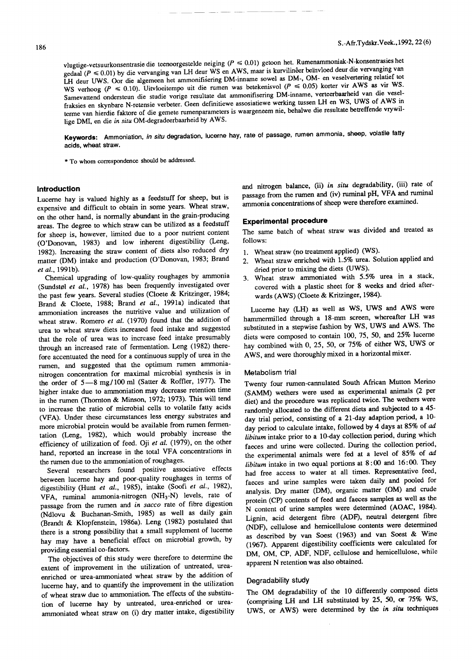vlugtige-vetsuurkonsentrasie die teenoorgestelde neiging ( $P \le 0.01$ ) getoon het. Rumenammoniak-N-konsentrasies het gedaal ( $P \le 0.01$ ) by die vervanging van LH deur WS en AWS, maar is kurvilinêer beïnvloed deur die vervanging van LH deur UWS. Oor die algemeen het ammonifisering DM-inname sowel as DM-, OM- en veselvertering relatief tot WS verhoog ( $P \le 0.10$ ). Uitvloeitempo uit die rumen was betekenisvol ( $P \le 0.05$ ) korter vir AWS as vir WS. Samevattend ondersteun die studie vorige resultate dat ammonifisering DM-inname, verteerbaarheid van die veselfraksies en skynbare N-retensie verbeter. Geen definitiewe assosiatiewe werking tussen LH en WS, UWS of AWS in terme van hierdie faktore of die gemete rumenparameters is waargeneem nie, behalwe die resultate betreffende vrywillige DMI, en die *in situ* OM-degradeerbaarheid by AWS.

**Keywords:** Ammoniation, *in situ* degradation, lucerne hay, rate of passage, rumen ammonia, sheep, volatile fatty acids, wheat straw.

\* To whom correspondence should be addressed.

#### **Introduction**

Lucerne hay is valued highly as a feedstuff for sheep, but is expensive and difficult to obtain in some years. Wheat straw, on the other hand, is normally abundant in the grain-producing areas. The degree to which straw can be utilized as a feedstuff for sheep is, however, limited due to a poor nutrient content (O'Donovan, 1983) and low inherent digestibility (Leng, 1982). Increasing the straw content of diets also reduced dry matter (DM) intake and production (O'Donovan, 1983; Brand *et al.,* 1991b).

Chemical upgrading of low-quality roughages by ammonia (Sundstøl et al., 1978) has been frequently investigated over the past few years. Several studies (Cloete & Kritzinger, 1984; Brand & Cloete, 1988; Brand *et al.,* 1991a) indicated that ammoniation increases the nutritive value and utilization of wheat straw. Romero *et al.* (1970) found that the addition of urea to wheat straw diets increased feed intake and suggested that the role of urea was to increase feed intake presumably through an increased rate of fermentation. Leng (1982) therefore accentuated the need for a continuous supply of urea in the rumen, and suggested that the optimum rumen ammonianitrogen concentration for maximal microbial synthesis is in the order of 5-8 mg/100 ml (Satter & Roffler, 1977). The higher intake due to ammoniation may decrease retention time in the rumen (Thornton & Minson, 1972; 1973). This will tend to increase the ratio of microbial cells to volatile fatty acids (VFA). Under these circumstances less energy substrates and more microbial protein would be available from rumen fermentation (Leng, 1982), which would probably increase the efficiency of utilization of feed. Oji *et al.* (1979), on the other hand, reported an increase in the total VFA concentrations in the rumen due to the ammoniation of roughages.

Several researchers found positive associative effects between lucerne hay and poor-quality roughages in terms of digestibility (Hunt *et al.,* 1985), intake (Soofi *et al., 1982),*  $VFA$  ruminal ammonia-nitrogen  $(NH_3-N)$  levels, rate of passage from the rumen and *in sacco* rate of fibre digestion (Ndlovu & Buchanan-Smith, 1985) as well as daily gain (Brandt & Klopfenstein, 1986a). Leng (1982) postulated that there is a strong possibility that a small supplement of lucerne hay may have a beneficial effect on microbial growth, by providing essential co-factors.

The objectives of this study were therefore to determine the extent of improvement in the utilization of untreated, ureaenriched or urea-ammoniated wheat straw by the addition of lucerne hay, and to quantify the improvement in the utilization of wheat straw due to ammoniation. The effects of the substitution of lucerne hay by untreated, urea-enriched or ureaammoniated wheat straw on (i) dry matter intake, digestibility and nitrogen balance, (ii) *in situ* degradability, (iii) rate of passage from the rumen and (iv) ruminal pH, VFA and rumina! ammonia concentrations of sheep were therefore examined.

## **Experimental procedure**

The same batch of wheat straw was divided and treated as follows:

- 1. Wheat straw (no treatment applied) (WS).
- 2. Wheat straw enriched with 1.5% urea. Solution applied and dried prior to mixing the diets (UWS).
- 3. Wheat straw ammoniated with 5.5% urea in a stack, covered with a plastic sheet for 8 weeks and dried afterwards (AWS) (Cloete & Kritzinger, 1984).

Lucerne hay (LH) as well as WS, UWS and AWS were hammermilled through a 18-mm screen, whereafter LH was substituted in a stepwise fashion by WS, UWS and AWS. The diets were composed to contain 100, 75, 50, and 25% lucerne hay combined with 0, 25, 50, or 75% of either WS, UWS or AWS, and were thoroughly mixed in a horizontal mixer.

#### Metabolism trial

Twenty four rwnen-cannulated South African Mutton Merino (SAMM) wethers were used as experimental animals (2 per diet) and the procedure was replicated twice. The wethers were randomly allocated to the different diets and subjected to a 45 day trial period, consisting of a 21-day adaption period, a 10 day period to calculate intake, followed by 4 days at 85% of *ad libitum* intake prior to a lO-day collection period, during which faeces and urine were collected. During the collection period, the experimental animals were fed at a level of 85% of *ad libitum* intake in two equal portions at 8: 00 and 16: 00. They had free access to water at all times. Representative feed, faeces and urine samples were taken daily and pooled for analysis. Dry matter (DM), organic matter (OM) and crude protein (CP) contents of feed and faeces samples as well as the N content of urine samples were determined (AOAC, 1984). Lignin, acid detergent fibre (ADF), neutral detergent fibre (NDF), cellulose and hemicellulose contents were determined as described by van Soest (1963) and van Soest & Wine (1967). Apparent digestibility coefficients were calculated for DM, OM, CP, ADF, NDF, cellulose and hemicellulose, while apparent N retention was also obtained.

## Degradability study

The OM degradability of the 10 differently composed diets (comprising LH and LH substituted by 25, 50, or 75% WS, UWS, or AWS) were determined by the *in situ* techniques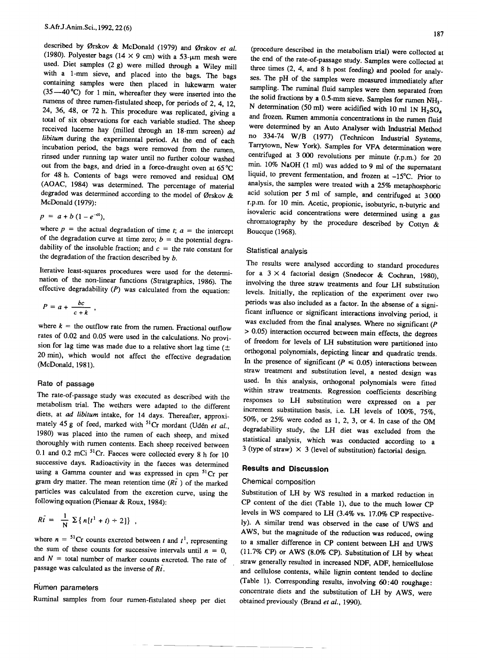described by Driver & McDonald (1979) and Orskov *et al.*<br>(1980) Polyaster bags (14  $\times$  0 cm) with 52 (1980). Polymer bags (1989). Polymer a 53-pm mesh we used. Diet samples  $(2 g)$  were milled through a Wiley mill with a 1-mm sieve, and placed into the bags. The bags  $\frac{1}{2}$   $\frac{1}{2}$   $\frac{1}{2}$   $\frac{1}{2}$   $\frac{1}{2}$   $\frac{1}{2}$   $\frac{1}{2}$   $\frac{1}{2}$   $\frac{1}{2}$   $\frac{1}{2}$   $\frac{1}{2}$   $\frac{1}{2}$   $\frac{1}{2}$   $\frac{1}{2}$   $\frac{1}{2}$   $\frac{1}{2}$   $\frac{1}{2}$   $\frac{1}{2}$   $\frac{1}{2}$   $\frac{1}{2}$   $\frac{1}{2}$   $\frac{1}{2}$   $(35 - 40\%)$  for the same of the placed in lukewarm water  $\frac{1}{2}$   $\frac{1}{2}$  for 1 min, whereafter they were inserted into the  $\frac{1}{24}$  as  $\frac{1}{26}$  as  $\frac{1}{20}$  in  $\frac{1}{21}$ ,  $\frac{1}{21}$ ,  $\frac{1}{21}$ ,  $\frac{1}{21}$ ,  $\frac{1}{21}$ ,  $\frac{1}{21}$ ,  $\frac{1}{21}$ ,  $\frac{1}{21}$ ,  $\frac{1}{21}$ ,  $\frac{1}{21}$ ,  $\frac{1}{21}$ ,  $\frac{1}{21}$ ,  $\frac{1}{21}$ ,  $\frac{1}{21}$ ,  $\frac{1}{21}$ , 24, 36, 48, or 72 h. This procedure was replicated, giving a total of six observations for each variable studied. The sheep received lucerne hay (milled through an 18-mm screen) *ad libitum* during the experimental period. At the end of each incubation period, the bags were removed from the rumen, rinsed under running tap water until no further colour washed out from the bags, and dried in a force-draught oven at 65°C for 48 h. Contents of bags were removed and residual OM (AOAC, 1984) was determined. The percentage of material degraded was determined according to the model of Ørskov & McDonald (1979):

$$
p = a + b (1 - e^{-ct}),
$$

where  $p =$  the actual degradation of time *t*;  $a =$  the intercept of the degradation curve at time zero;  $b =$  the potential degradability of the insoluble fraction; and  $c =$  the rate constant for the degradation of the fraction described by *b.*

Iterative least-squares procedures were used for the determination of the non-linear functions (Stratgraphics, 1986). The effective degradability *(P)* was calculated from the equation:

$$
P=a+\frac{bc}{c+k}\ ,
$$

where  $k =$  the outflow rate from the rumen. Fractional outflow rates of 0.02 and 0.05 were used in the calculations. No provision for lag time was made due to a relative short lag time  $(±)$ 20 min), which would not affect the effective degradation (McDonald, 1981).

## Rate of passage

The rate-of-passage study was executed as described with the metabolism trial. The wethers were adapted to the different diets, at *ad libitum* intake, for 14 days. Thereafter, approximately 45 g of feed, marked with <sup>51</sup>Cr mordant (Udén et al., 1980) was placed into the rumen of each sheep, and mixed thoroughly with rumen contents. Each sheep received between 0.1 and 0.2 mCi <sup>51</sup>Cr. Faeces were collected every 8 h for 10 successive days. Radioactivity in the faeces was determined using a Gamma counter and was expressed in cpm <sup>51</sup>Cr per gram dry matter. The mean retention time  $(R\bar{t})$  of the marked particles was calculated from the excretion curve, using the following equation (Pienaar & Roux, 1984):

$$
R\bar{t} = \frac{1}{N} \sum \{ n[t^1 + t) \div 2] \},
$$

where  $n = {}^{51}Cr$  counts excreted between *t* and  $t<sup>1</sup>$ , representing the sum of these counts for successive intervals until  $n = 0$ , and  $N =$  total number of marker counts excreted. The rate of passage was calculated as the inverse of *Ri.*

## Rumen parameters

Ruminal samples from four rumen-fistulated sheep per diet

(procedure described in the metabolism trial) were collected at the end of the rate-of-passage study. Samples were collected at three times (2, 4, and 8 h post feeding) and pooled for analyses. The pH of the samples were measured immediately after sampling. The ruminal fluid samples were then separated from the solid fractions by a  $0.5$ -mm sieve. Samples for rumen N N determination (50 ml) were acidified with 10 ml 1N  $H_2SO_4$ and frozen. Rumen ammonia concentrations in the rumen fluid were determined by an Auto Analyser with Industrial Method no 334-74 W/B (1977) (Technicon Industrial Systems, Tarrytown, New York). Samples for VFA determination were centrifuged at 3 000 revolutions per minute (r.p.m.) for 20 min. 10% NaOH (1 ml) was added to 9 ml of the supernatant liquid, to prevent fermentation, and frozen at -15°C. Prior to analysis, the samples were treated with a 25% metaphosphoric acid solution per 5 ml of sample, and centrifuged at 3000 r.p.m. for 10 min. Acetic, propionic, isobutyric, n-butyric and isovaleric acid concentrations were determined using a gas chromatography by the procedure described by Cottyn  $\&$ Boucque (1968).

#### Statistical analysis

The results were analysed according to standard procedures for a  $3 \times 4$  factorial design (Snedecor & Cochran, 1980), involving the three straw treatments and four LH substitution levels. Initially, the replication of the experiment over two periods was also included as a factor. In the absense of a significant influence or significant interactions involving period, it was excluded from the fmal analyses. Where no significant *(P* > 0.05) interaction occurred between main effects, the degrees of freedom for levels of LH substitution were partitioned into orthogonal polynomials, depicting linear and quadratic trends. In the presence of significant  $(P \le 0.05)$  interactions between straw treatment and substitution level, a nested design was used. In this analysis, orthogonal polynomials were fitted within straw treatments. Regression coefficients describing responses to LH substitution were expressed on a per increment substitution basis, i.e. LH levels of 100%, 75%, 50%, or 25% were coded as I, 2, 3, or 4. In case of the OM degradability study, the LH diet was excluded from the statistical analysis, which was conducted according to a 3 (type of straw)  $\times$  3 (level of substitution) factorial design.

## **Results and Discussion**

## Chemical composition

Substitution of LH by WS resulted in a marked reduction in CP content of the diet (Table I), due to the much lower CP levels in WS compared to LH (3.4% vs. 17.0% CP respectively). A similar trend was observed in the case of UWS and AWS, but the magnitude of the reduction was reduced, owing to a smaller difference in CP content between LH and UWS (11.7% CP) or AWS (8.0% CP). Substitution of LH by wheat straw generally resulted in increased NDF, ADF, hemicellulose and cellulose contents, while lignin content tended to decline (Table 1). Corresponding results, involving 60:40 roughage: concentrate diets and the substitution of LH by AWS, were obtained previously (Brand *et al., 1990).*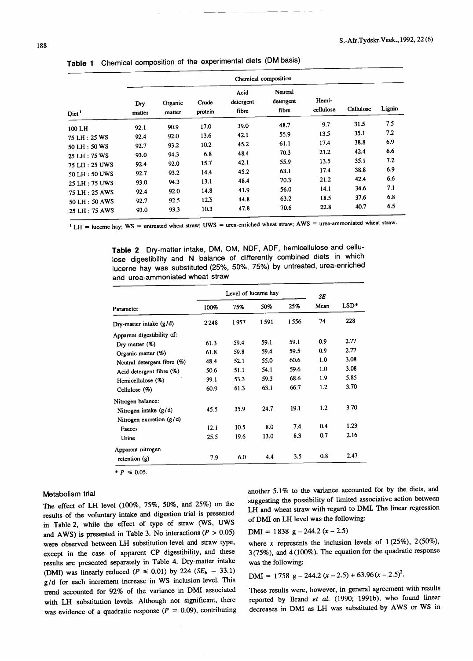|                                |               |                   |                  |                            | Chemical composition          |                    |           |        |  |  |  |  |  |  |
|--------------------------------|---------------|-------------------|------------------|----------------------------|-------------------------------|--------------------|-----------|--------|--|--|--|--|--|--|
| Diet <sup>1</sup>              | Dry<br>matter | Organic<br>matter | Crude<br>protein | Acid<br>detergent<br>fibre | Neutral<br>detergent<br>fibre | Hemi-<br>cellulose | Cellulose | Lignin |  |  |  |  |  |  |
| 100 LH                         | 92.1          | 90.9              | 17.0             | 39.0                       | 48.7                          | 9.7                | 31.5      | 7.5    |  |  |  |  |  |  |
| 75 LH: 25 WS                   | 92.4          | 92.0              | 13.6             | 42.1                       | 55.9                          | 13.5               | 35.1      | 7.2    |  |  |  |  |  |  |
| 50 LH : 50 WS                  | 92.7          | 93.2              | 10.2             | 45.2                       | 61.1                          | 17.4               | 38.8      | 6.9    |  |  |  |  |  |  |
| 25 LH: 75 WS                   | 93.0          | 94.3              | 6.8              | 48.4                       | 70.3                          | 21.2               | 42.4      | 6.6    |  |  |  |  |  |  |
|                                | 92.4          | 92.0              | 15.7             | 42.1                       | 55.9                          | 13.5               | 35.1      | 7.2    |  |  |  |  |  |  |
| 75 LH: 25 UWS                  | 92.7          | 93.2              | 14.4             | 45.2                       | 63.1                          | 17.4               | 38.8      | 6.9    |  |  |  |  |  |  |
| 50 LH: 50 UWS                  | 93.0          | 94.3              | 13.1             | 48.4                       | 70.3                          | 21.2               | 42.4      | 6.6    |  |  |  |  |  |  |
| 25 LH: 75 UWS<br>75 LH: 25 AWS | 92.4          | 92.0              | 14.8             | 41.9                       | 56.0                          | 14.1               | 34.6      | 7.1    |  |  |  |  |  |  |
| 50 LH: 50 AWS                  | 92.7          | 92.5              | 12.5             | 44.8                       | 63.2                          | 18.5               | 37.6      | 6.8    |  |  |  |  |  |  |
| 25 LH: 75 AWS                  | 93.0          | 93.3              | 10.3             | 47.8                       | 70.6                          | 22.8               | 40.7      | 6.5    |  |  |  |  |  |  |

|  |  |  |  | Table 1 Chemical composition of the experimental diets (DM basis) |  |  |
|--|--|--|--|-------------------------------------------------------------------|--|--|
|--|--|--|--|-------------------------------------------------------------------|--|--|

<sup>1</sup> LH = lucerne hay; WS = untreated wheat straw; UWS = urea-enriched wheat straw; AWS = urea-ammoniated wheat straw.

**Table 2** Dry-matter intake, DM, OM, NDF, ADF, hemicellulose and cellulose digestibility and N balance of differently combined diets in which lucerne hay was substituted (25%, 50%, 75%) by untreated, urea-enriched and urea-ammoniated wheat straw

|                             |      | Level of lucerne hay | SE   |      |      |        |
|-----------------------------|------|----------------------|------|------|------|--------|
| Parameter                   | 100% | 75%                  | 50%  | 25%  | Mean | $LSD*$ |
| Dry-matter intake $(g/d)$   | 2248 | 1957                 | 1591 | 1556 | 74   | 228    |
| Apparent digestibility of:  |      |                      |      |      |      |        |
| Dry matter (%)              | 61.3 | 59.4                 | 59.1 | 59.1 | 0.9  | 2.77   |
| Organic matter $(\%)$       | 61.8 | 59.8                 | 59.4 | 59.5 | 0.9  | 2.77   |
| Neutral detergent fibre (%) | 48.4 | 52.1                 | 55.0 | 60.6 | 1.0  | 3.08   |
| Acid detergent fibre $(\%)$ | 50.6 | 51.1                 | 54.1 | 59.6 | 1.0  | 3.08   |
| Hemicellulose (%)           | 39.1 | 53.3                 | 59.3 | 68.6 | 1.9  | 5.85   |
| Cellulose $(%)$             | 60.9 | 61.3                 | 63.1 | 66.7 | 1.2  | 3.70   |
| Nitrogen balance:           |      |                      |      |      |      |        |
| Nitrogen intake $(g/d)$     | 45.5 | 35.9                 | 24.7 | 19.1 | 1.2  | 3.70   |
| Nitrogen excretion $(g/d)$  |      |                      |      |      |      |        |
| Faeces                      | 12.1 | 10.5                 | 8.0  | 7.4  | 0.4  | 1.23   |
| Urine                       | 25.5 | 19.6                 | 13.0 | 8.3  | 0.7  | 2.16   |
| Apparent nitrogen           |      |                      |      |      |      |        |
| retention $(g)$             | 7.9  | 6.0                  | 4.4  | 3.5  | 0.8  | 2.47   |

 $* P \le 0.05.$ 

### Metabolism trial

The effect of LH level (100%, 75%, 50%, and 25%) on the results of the voluntary intake and digestion trial is presented in Table 2, while the effect of type of straw (WS, UWS and AWS) is presented in Table 3. No interactions  $(P > 0.05)$ were observed between LH substitution level and straw type, except in the case of apparent CP digestibility, and these results are presented separately in Table 4. Dry-matter intake (DMI) was linearly reduced  $(P \le 0.01)$  by 224  $(SE_b = 33.1)$ g/ d for each increment increase in WS inclusion level. This trend accounted for 92% of the variance in DMI associated with LH substitution levels. Although not significant, there was evidence of a quadratic response  $(P = 0.09)$ , contributing another 5.1% to the variance accounted for by the diets, and suggesting the possibility of limited associative action between LH and wheat straw with regard to DMI. The linear regression of DMI on LH level was the following:

 $DMI = 1838 g - 244.2 (x - 2.5)$ 

where *x* represents the inclusion levels of 1(25%), 2(50%), 3(75%), and 4(100%). The equation for the quadratic response was the following:

DMI = 1758  $g - 244.2(x - 2.5) + 63.96(x - 2.5)^2$ .

These results were, however, in general agreement with results reported by Brand *et al.* (1990; 1991b), who found linear decreases in DMI as LH was substituted by AWS or WS in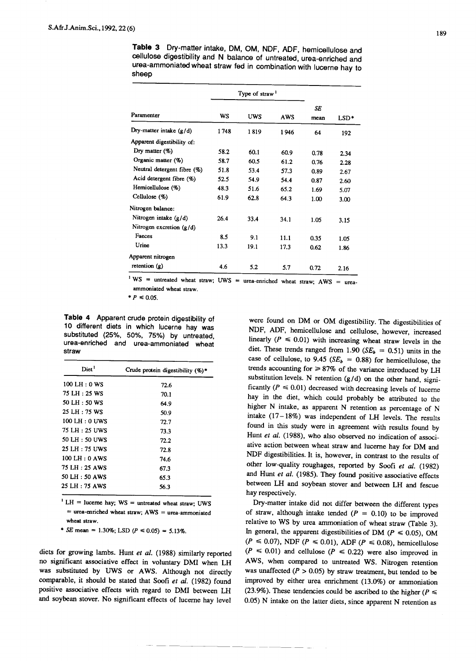**Table 3** Dry-matter intake, DM, OM, NDF, ADF, hemicellulose and cellulose digestibility and N balance of untreated, urea-enriched and urea-ammoniated wheat straw fed in combination with lucerne hay to sheep

|                             |           | Type of straw <sup>1</sup> |            |            |      |
|-----------------------------|-----------|----------------------------|------------|------------|------|
| Paramenter                  | <b>WS</b> | <b>UWS</b>                 | <b>AWS</b> | SE<br>mean | LSD* |
| Dry-matter intake $(g/d)$   | 1748      | 1819                       | 1946       | 64         | 192  |
| Apparent digestibility of:  |           |                            |            |            |      |
| Dry matter $(\%)$           | 58.2      | 60.1                       | 60.9       | 0.78       | 2.34 |
| Organic matter (%)          | 58.7      | 60.5                       | 61.2       | 0.76       | 2.28 |
| Neutral detergent fibre (%) | 51.8      | 53.4                       | 57.3       | 0.89       | 2.67 |
| Acid detergent fibre (%)    | 52.5      | 54.9                       | 54.4       | 0.87       | 2.60 |
| Hemicellulose (%)           | 48.3      | 51.6                       | 65.2       | 1.69       | 5.07 |
| Cellulose (%)               | 61.9      | 62.8                       | 64.3       | 1.00       | 3.00 |
| Nitrogen balance:           |           |                            |            |            |      |
| Nitrogen intake $(g/d)$     | 26.4      | 33.4                       | 34.1       | 1.05       | 3.15 |
| Nitrogen excretion (g/d)    |           |                            |            |            |      |
| Faeces                      | 8.5       | 9.1                        | 11.1       | 0.35       | 1.05 |
| Urine                       | 13.3      | 19.1                       | 17.3       | 0.62       | 1.86 |
| Apparent nitrogen           |           |                            |            |            |      |
| retention $(g)$             | 4.6       | 5.2                        | 5.7        | 0.72       | 2.16 |

 $1 WS$  = untreated wheat straw; UWS = urea-enriched wheat straw; AWS = ureaammoniated wheat straw.

 $* P \le 0.05.$ 

**Table 4** Apparent crude protein digestibility of 10 different diets in which lucerne hay was substituted (25%, 50%, 75%) by untreated, urea-enriched and urea-ammoniated wheat straw

| Diet <sup>1</sup> | Crude protein digestibility $(\%)^*$ |  |  |  |  |
|-------------------|--------------------------------------|--|--|--|--|
| $100$ LH : 0 WS   | 72.6                                 |  |  |  |  |
| 75 LH: 25 WS      | 70.1                                 |  |  |  |  |
| 50 LH: 50 WS      | 64.9                                 |  |  |  |  |
| 25 LH : 75 WS     | 50.9                                 |  |  |  |  |
| $100$ LH : 0 UWS  | 72.7                                 |  |  |  |  |
| 75 LH : 25 UWS    | 73.3                                 |  |  |  |  |
| 50 LH: 50 UWS     | 72.2                                 |  |  |  |  |
| 25 LH : 75 UWS    | 72.8                                 |  |  |  |  |
| $100$ LH : 0 AWS  | 74.6                                 |  |  |  |  |
| 75 LH : 25 AWS    | 67.3                                 |  |  |  |  |
| 50 LH : 50 AWS    | 65.3                                 |  |  |  |  |
| 25 LH : 75 AWS    | 56.3                                 |  |  |  |  |
|                   |                                      |  |  |  |  |

 $<sup>1</sup> LH$  = lucerne hay; WS = untreated wheat straw; UWS</sup>  $=$  urea-enriched wheat straw;  $AWS =$  urea-ammoniated wheat straw.

 $*$  *SE* mean = 1.30%; LSD  $(P \le 0.05) = 5.13\%$ .

diets for growing lambs. Hunt *et al.* (1988) similarly reported no significant associative effect in voluntary DMI when LH was substituted by UWS or AWS. Although not directly comparable, it should be stated that Soofi *et aI.* (1982) found positive associative effects with regard to DMI between LH and soybean stover. No significant effects of lucerne hay level

were found on DM or OM digestibility. The digestibilities of NDF, ADF, hemicellulose and cellulose, however, increased linearly  $(P \le 0.01)$  with increasing wheat straw levels in the diet. These trends ranged from 1.90  $(SE_b = 0.51)$  units in the case of cellulose, to 9.45  $(SE_b = 0.88)$  for hemicellulose, the trends accounting for  $\geq 87\%$  of the variance introduced by LH substitution levels. N retention *(g/d)* on the other hand, significantly  $(P \le 0.01)$  decreased with decreasing levels of lucerne hay in the diet, which could probably be attributed to the higher N intake, as apparent N retention as percentage of N intake  $(17-18\%)$  was independent of LH levels. The results found in this study were in agreement with results found by Hunt *et al.* (1988), who also observed no indication of associative action between wheat straw and lucerne hay for DM and NDF digestibilities. It is, however, in contrast to the results of other low-quality roughages, reported by Soofi *et aI. (1982)* and Hunt *et al.* (1985). They found positive associative effects between LH and soybean stover and between LH and fescue hay respectively.

Dry-matter intake did not differ between the different types of straw, although intake tended  $(P = 0.10)$  to be improved relative to WS by urea ammoniation of wheat straw (Table 3). In general, the apparent digestibilities of DM  $(P \le 0.05)$ , OM  $(P \le 0.07)$ , NDF  $(P \le 0.01)$ , ADF  $(P \le 0.08)$ , hemicellulose  $(P \le 0.01)$  and cellulose  $(P \le 0.22)$  were also improved in AWS, when compared to untreated WS. Nitrogen retention was unaffected  $(P > 0.05)$  by straw treatment, but tended to be improved by either urea enrichment (13.0%) or ammoniation (23.9%). These tendencies could be ascribed to the higher  $(P \leq$ 0.05) N intake on the latter diets, since apparent N retention as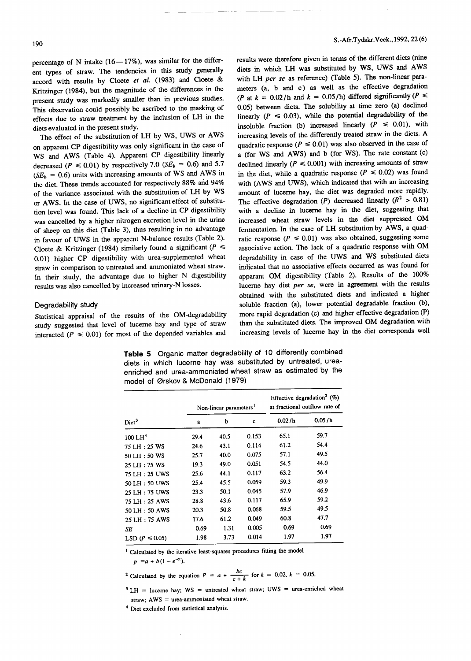percentage of N intake  $(16-17\%)$ , was similar for the different types of straw. The tendencies in this study generally accord with results by Cloete *et ai.* (1983) and Cloete & Kritzinger (1984), but the magnitude of the differences in the present study was markedly smaller than in previous studies. This observation could possibly be ascribed to the masking of effects due to straw treatment by the inclusion of LH in the diets evaluated in the present study.

The effect of the substitution of LH by WS, UWS or AWS on apparent CP digestibility was only significant in the case of WS and AWS (Table 4). Apparent CP digestibility linearly decreased ( $P \le 0.01$ ) by respectively 7.0 *(SE<sub>b</sub>* = 0.6) and 5.7  $(SE_b = 0.6)$  units with increasing amounts of WS and AWS in the diet. These trends accounted for respectively 88% and 94% of the variance associated with the substitution of LH by WS or AWS. In the case of UWS, no significant effect of substitution level was found. This lack of a decline in CP digestibility was cancelled by a higher nitrogen excretion level in the urine of sheep on this diet (Table 3), thus resulting in no advantage in favour of UWS in the apparent N-balance results (Table 2). Cloete & Kritzinger (1984) similarly found a significant  $(P \leq$ 0.01) higher CP digestibility with urea-supplemented wheat straw in comparison to untreated and ammoniated wheat straw. In their study, the advantage due to higher N digestibility results was also cancelled by increased urinary-N losses.

## Degradability study

Statistical appraisal of the results of the OM-degradability study suggested that level of lucerne hay and type of straw interacted  $(P \le 0.01)$  for most of the depended variables and

results were therefore given in terms of the different diets (nine diets in which LH was substituted by WS, UWS and AWS with LH *per se* as reference) (Table 5). The non-linear parameters (a, band c) as well as the effective degradation *(P* at  $k = 0.02/h$  and  $k = 0.05/h$ ) differed significantly  $(P \leq$ 0.05) between diets. The solubility at time zero (a) declined linearly  $(P \le 0.03)$ , while the potential degradability of the insoluble fraction (b) increased linearly  $(P \le 0.01)$ , with increasing levels of the differently treated straw in the diets. A quadratic response ( $P \le 0.01$ ) was also observed in the case of a (for WS and AWS) and b (for WS). The rate constant  $(c)$ declined linearly  $(P \le 0.001)$  with increasing amounts of straw in the diet, while a quadratic response  $(P \le 0.02)$  was found with (AWS and UWS), which indicated that with an increasing amount of lucerne hay, the diet was degraded more rapidly. The effective degradation *(P)* decreased linearly  $(R^2 > 0.81)$ with a decline in lucerne hay in the diet, suggesting that increased wheat straw levels in the diet suppressed OM fermentation. In the case of LH substitution by AWS, a quadratic response  $(P \le 0.01)$  was also obtained, suggesting some associative action. The lack of a quadratic response with OM degradability in case of the UWS and WS substituted diets indicated that no associative effects occurred as was found for apparant OM digestibility (Table 2). Results of the 100% lucerne hay diet *per se,* were in agreement with the results obtained with the substituted diets and indicated a higher soluble fraction (a), lower potential degradable fraction (b), more rapid degradation (c) and higher effective degradation (P) than the substituted diets. The improved OM degradation with increasing levels of lucerne hay in the diet corresponds well

**Table 5** Organic matter degradability of 10 differently combined diets in which lucerne hay was substituted by untreated, ureaenriched and urea-ammoniated wheat straw as estimated by the model of 0rskov & McDonald (1979)

|                      |              | Non-linear parameters <sup>1</sup> |             | Effective degradation <sup>2</sup> (%)<br>at fractional outflow rate of |        |  |
|----------------------|--------------|------------------------------------|-------------|-------------------------------------------------------------------------|--------|--|
| Diet <sup>3</sup>    | $\mathbf{a}$ | b                                  | $\mathbf c$ | 0.02/h                                                                  | 0.05/h |  |
| 100 LH <sup>4</sup>  | 29.4         | 40.5                               | 0.153       | 65.1                                                                    | 59.7   |  |
| 75 LH: 25 WS         | 24.6         | 43.1                               | 0.114       | 61.2                                                                    | 54.4   |  |
| 50 LH: 50 WS         | 25.7         | 40.0                               | 0.075       | 57.1                                                                    | 49.5   |  |
| 25 LH: 75 WS         | 19.3         | 49.0                               | 0.051       | 54.5                                                                    | 44.0   |  |
| 75 LH: 25 UWS        | 25.6         | 44.1                               | 0.117       | 63.2                                                                    | 56.4   |  |
| 50 LH: 50 UWS        | 25.4         | 45.5                               | 0.059       | 59.3                                                                    | 49.9   |  |
| 25 LH: 75 UWS        | 23.3         | 50.1                               | 0.045       | 57.9                                                                    | 46.9   |  |
| 75 LH: 25 AWS        | 28.8         | 43.6                               | 0.117       | 65.9                                                                    | 59.2   |  |
| 50 LH: 50 AWS        | 20.3         | 50.8                               | 0.068       | 59.5                                                                    | 49.5   |  |
| 25 LH: 75 AWS        | 17.6         | 61.2                               | 0.049       | 60.8                                                                    | 47.7   |  |
| SE                   | 0.69         | 1.31                               | 0.005       | 0.69                                                                    | 0.69   |  |
| LSD ( $P \le 0.05$ ) | 1.98         | 3.73                               | 0.014       | 1.97                                                                    | 1.97   |  |

<sup>1</sup> Calculated by the iterative least-squares procedures fitting the model

 $p = a + b(1 - e^{-ct}).$ 

<sup>2</sup> Calculated by the equation 
$$
P = a + \frac{bc}{c+k}
$$
 for  $k = 0.02$ ,  $k = 0.05$ .

 $3$  LH = lucerne hay; WS = untreated wheat straw; UWS = urea-enriched wheat straw; AWS = urea-ammoniated wheat straw.

<sup>4</sup> Diet excluded from statistical analysis.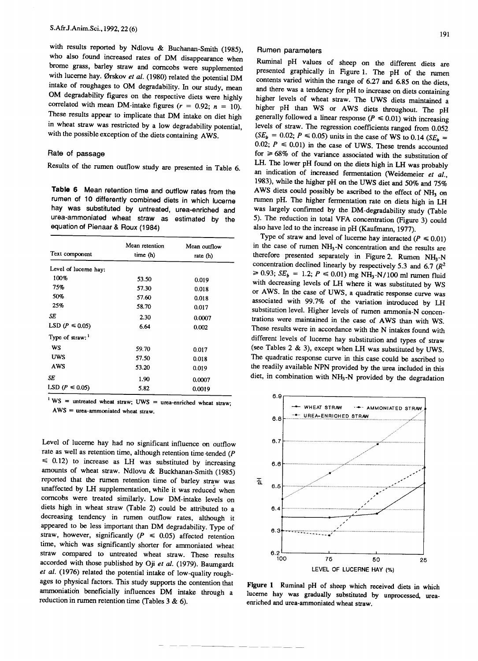with results reported by Ndlovu & Buchanan-Smith (1985), who also found increased rates of DM disappearance when brome grass, barley straw and corncobs were supplemented  $\frac{1}{2}$  brown  $\frac{1}{2}$  straw and corncobs were supplemented with lucerne hay. 0rskov *el ai.* (1980) related the potential DM ment of roughages to OM degradability. In our study, mea **The degradability figures on the respective diets were highly** correlated with mean DM-intake figures  $(r = 0.92; n = 10)$ . These results appear to implicate that DM intake on diet high in wheat straw was restricted by a low degradability potential, with the possible exception of the diets containing AWS.

## Rate of passage

Results of the rumen outflow study are presented in Table 6.

**Table 6** Mean retention time and outflow rates from the rumen of 10 differently combined diets in which lucerne hay was substituted by untreated, urea-enriched and urea-ammoniated wheat straw as estimated by the equation of Pienaar & Roux (1984)

| Text component              | Mean retention<br>time (h) | Mean outflow<br>rate (h) |  |  |
|-----------------------------|----------------------------|--------------------------|--|--|
| Level of lucerne hay:       |                            |                          |  |  |
| 100%                        | 53.50                      | 0.019                    |  |  |
| 75%                         | 57.30                      | 0.018                    |  |  |
| 50%                         | 57.60                      | 0.018                    |  |  |
| 25%                         | 58.70                      | 0.017                    |  |  |
| SE                          | 2.30                       | 0.0007                   |  |  |
| LSD ( $P \le 0.05$ )        | 6.64                       | 0.002                    |  |  |
| Type of straw: <sup>1</sup> |                            |                          |  |  |
| WS                          | 59.70                      | 0.017                    |  |  |
| <b>UWS</b>                  | 57.50                      | 0.018                    |  |  |
| AWS                         | 53.20                      | 0.019                    |  |  |
| SE                          | 1.90                       | 0.0007                   |  |  |
| LSD ( $P \le 0.05$ )        | 5.82                       | 0.0019                   |  |  |

 $1 WS$  = untreated wheat straw; UWS = urea-enriched wheat straw;  $AWS =$  urea-ammoniated wheat straw.

Level of lucerne hay had no significant influence on outflow rate as well as retention time, although retention time tended (P  $\leq$  0.12) to increase as LH was substituted by increasing amounts of wheat straw. Ndlovu & Buckhanan-Smith (1985) reported that the rumen retention time of barley straw was unaffected by LH supplementation, while it was reduced when corncobs were treated similarly. Low DM-intake levels on diets high in wheat straw (Table 2) could be attributed to a decreasing tendency in rumen outflow rates, although it appeared to be less important than DM degradability. Type of straw, however, significantly  $(P \le 0.05)$  affected retention time, which was significantly shorter for ammoniated wheat straw compared to untreated wheat straw. These results accorded with those published by Oji *el ai.* (1979). Baumgardt *el al.* (1976) related the potential intake of low-quality roughages to physical factors. This study supports the contention that ammoniation beneficially influences DM intake through a reduction in rumen retention time (Tables 3 & 6).

## Rumen parameters

Ruminal pH values of sheep on the different diets are presented graphically in Figure 1. The pH of the rumen contents varied within the range of 6.27 and 6.85 on the diets, and there was a tendency for pH to increase on diets containing higher levels of wheat straw. The UWS diets maintained a higher pH than WS or AWS diets throughout. The pH generally followed a linear response  $(P \le 0.01)$  with increasing levels of straw. The regression coefficients ranged from 0.052  $(SE_b = 0.02; P \le 0.05)$  units in the case of WS to 0.14  $(SE_b = 0.02; P \le 0.05)$ 0.02;  $P \le 0.01$ ) in the case of UWS. These trends accounted for  $\geq 68\%$  of the variance associated with the substitution of LH. The lower pH found on the diets high in LH was probably an indication of increased fermentation (Weidemeier *el ai.,* 1983), while the higher pH on the UWS diet and 50% and 75% AWS diets could possibly be ascribed to the effect of  $NH<sub>3</sub>$  on rumen pH. The higher fermentation rate on diets high in LH was largely confirmed by the DM-degradability study (Table 5). The reduction in total VFA concentration (Figure 3) could also have led to the increase in pH (Kaufmann, 1977).

Type of straw and level of lucerne hay interacted  $(P \le 0.01)$ in the case of rumen  $NH<sub>3</sub>-N$  concentration and the results a therefore presented separately in Figure 2. Rumen  $NH<sub>3</sub>$ concentration declined linearly by respectively 5.3 and 6.7 *(R<sup>2</sup>*  $\geq 0.93$ ; *SE<sub>b</sub>* = 1.2;  $P \leq 0.01$ ) mg NH<sub>3</sub>-N/100 ml rumen flu with decreasing levels of LH where it was substituted by WS or AWS. In the case of UWS, a quadratic response curve was associated with 99.7% of the variation introduced by LH substitution level. Higher levels of rumen ammonia-N concentrations were maintained in the case of AWS than with WS. These results were in accordance with the N intakes found with different levels of lucerne hay substitution and types of straw (see Tables 2 & 3), except when LH was substituted by UWS. The quadratic response curve in this case could be ascribed to the readily available NPN provided by the urea included in this diet, in combination with NH3-N provided by the degradation



Figure 1 Ruminal pH of sheep which received diets in which lucerne hay was gradually substituted by unprocessed, ureaenriched and urea-ammoniated wheat straw.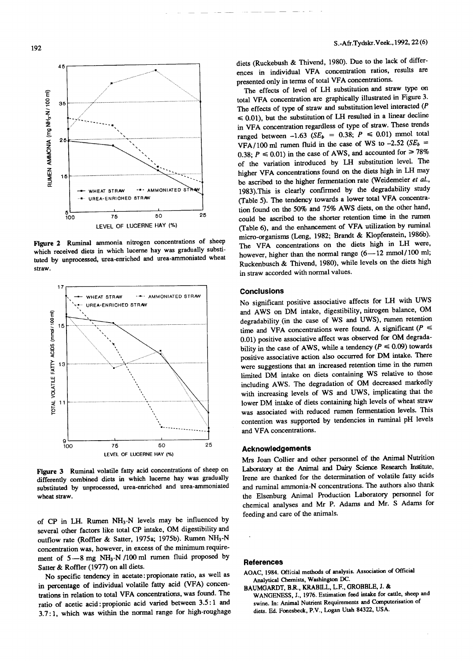

Figure 2 Ruminal ammonia nitrogen concentrations of sheep which received diets in which lucerne hay was gradually substituted by unprocessed, urea-enriched and urea-ammoniated wheat straw.



Figure 3 Ruminal volatile fatty acid concentrations of sheep on differently combined diets in which lucerne hay was gradually miletenity complete these in which identified and urea-gramoniated westituted t

of CP in LH. Rumen  $NH<sub>3</sub>-N$  levels may be influenced by several other factors like total CP intake, OM digestibility and outflow rate (Roffler & Satter, 1975a; 1975b). Rumen NH3-N concentration was, however, in excess of the minimum require $m_{\text{tot}}$  of  $5-8$  mg NH<sub>3</sub>-N<sub>11</sub> M<sub>3</sub>/0 ml rumon fluid proposed by  $5-8$ ment of  $3 - 8$  mg  $1973 - 1970$  in Satter & Roffler (1977) on all diets.<br>No specific tendency in acetate: propionate ratio, as well as

in percentage of individual volatile fatty acid (VFA) concen-In percentage of marvious volume rate, and  $\tau$ rations in relation to total varied between account to between 2.5: 1 and ratio of acetic acid: propionic acid varied between  $3.5:1$  and  $3.7:1$ , which was within the normal range for high-roughage diets (Ruckebush & Thivend, 1980). Due to the lack of differences in individual VFA concentration ratios, results are presented only in terms of total VFA concentrations.

presented only in terms of total VFA concentrations.  $T_{\text{eff}}$  and  $T_{\text{eff}}$  of level of LH substitution and straw type on  $T_{\text{eff}}$ total VFA concentration are graphically illustrated in Figure 3.<br>The effects of type of straw and substitution level interacted (P  $\leq 0.01$ ), but the substitution of LH resulted in a linear decline in VFA concentration regardless of type of straw. These trends  $\eta$  VFA concentration regardless of type of straw. These trees anged between  $-1.63$  (SE<sub>b</sub> = 0.36;  $P \le 0.01$ ) mmol total<br> $P = 0.58$  *(SE<sub>b</sub>* = 0.53) *P S*  $P = 0.58$ VFA/100 ml rumen fluid in the case of WS to  $-2.52$  *(SE<sub>b</sub>* = 0.38;  $P \le 0.01$ ) in the case of AWS, and accounted for  $\ge 78\%$ of the variation introduced by LH substitution level. The higher VFA concentrations found on the diets high in LH may be ascribed to the higher fermentation rate (Weidemeier *et ai.,* 1983).This is clearly confirmed by the degradability study (Table 5). The tendency towards a lower total VFA concentration found on the 50% and 75% AWS diets, on the other hand, could be ascribed to the shorter retention time in the rumen (Table 6), and the enhancement of VFA utilization by ruminal micro-organisms (Leng, 1982; Brandt & Klopfenstein, 1986b). The VFA concentrations on the diets high in LH were, however, higher than the normal range  $(6-12 \text{ mmol}/100 \text{ ml})$ ; Ruckenbusch & Thivend, 1980), while levels on the diets high in straw accorded with normal values.

## **Conclusions**

No significant positive associative affects for LH with UWS and AWS on DM intake, digestibility, nitrogen balance, OM degradability (in the case of WS and UWS), rumen retention time and VFA concentrations were found. A significant  $(P \leq$ 0.01) positive associative affect was observed for OM degradability in the case of AWS, while a tendency  $(P \le 0.09)$  towards positive associative action also occurred for DM intake. There were suggestions that an increased retention time in the rumen limited DM intake on diets containing WS relative to those including AWS. The degradation of OM decreased markedly with increasing levels of WS and UWS, implicating that the lower DM intake of diets containing high levels of wheat straw was associated with reduced rumen fermentation levels. This contention was supported by tendencies in ruminal pH levels and VFA concentrations.

#### **AcknOWledgements**

Mrs Joan Collier and other personnel of the Animal Nutrition Laboratory at the Animal and Dairy Science Research Institute, Irene are thanked for the determination of volatile fatty acids and ruminal ammonia-N concentrations. The authors also thank the Elsenburg Animal Production Laboratory personnel for chemical analyses and Mr P. Adams and Mr. S Adams for feeding and care of the animals.

#### **References**

- AOAC, 1984. Official methods of analysis. Association of Official Analytical Chemists, Washington DC.
- BAUMGARDT, BR, KRABILL, L.F., GROBBLE, J. & WANGENESS, J., 1976. Estimation feed intake for cattle, sheep and swine. In: Animal Nutrient Requirements and Computerisation of diets. Ed. Fonesbeck, P.V., Logan Utah 84322, USA.